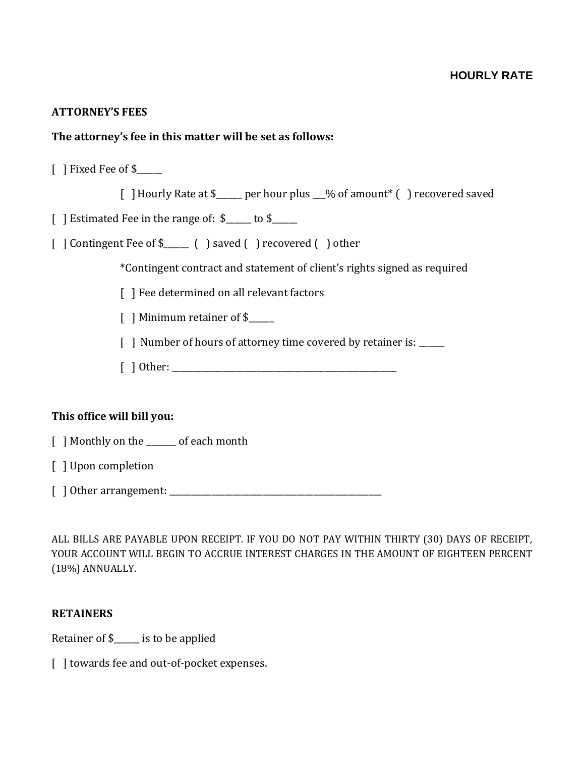# **ATTORNEY'S FEES**

# **The attorney's fee in this matter will be set as follows:**

[ ] Fixed Fee of \$\_\_\_\_\_\_

[ ]Hourly Rate at \$\_\_\_\_\_\_ per hour plus \_\_\_% of amount\* ( ) recovered saved

[ ] Estimated Fee in the range of: \$\_\_\_\_\_ to \$\_\_\_\_\_

[ ] Contingent Fee of \$\_\_\_\_\_\_ ( ) saved ( ) recovered ( ) other

\*Contingent contract and statement of client's rights signed as required

[] Fee determined on all relevant factors

[ ] Minimum retainer of \$

[ ] Number of hours of attorney time covered by retainer is: \_\_\_\_\_\_

[ ] Other: \_\_\_\_\_\_\_\_\_\_\_\_\_\_\_\_\_\_\_\_\_\_\_\_\_\_\_\_\_\_\_\_\_\_\_\_\_\_\_\_\_\_\_\_\_\_\_\_\_\_\_\_\_

### **This office will bill you:**

[ ] Monthly on the \_\_\_\_\_\_\_ of each month

[ ] Upon completion

[ ] Other arrangement: \_\_\_\_\_\_\_\_\_\_\_\_\_\_\_\_\_\_\_\_\_\_\_\_\_\_\_\_\_\_\_\_\_\_\_\_\_\_\_\_\_\_\_\_\_\_\_\_\_\_

ALL BILLS ARE PAYABLE UPON RECEIPT. IF YOU DO NOT PAY WITHIN THIRTY (30) DAYS OF RECEIPT, YOUR ACCOUNT WILL BEGIN TO ACCRUE INTEREST CHARGES IN THE AMOUNT OF EIGHTEEN PERCENT (18%) ANNUALLY.

### **RETAINERS**

Retainer of \$\_\_\_\_\_\_ is to be applied

[ ] towards fee and out-of-pocket expenses.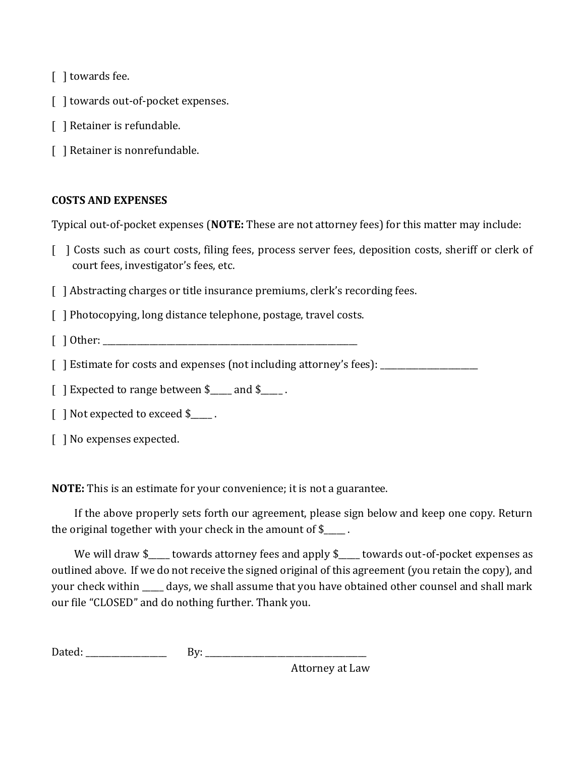[ ] towards fee.

- [ ] towards out-of-pocket expenses.
- [ ] Retainer is refundable.
- [ ] Retainer is nonrefundable.

# **COSTS AND EXPENSES**

Typical out-of-pocket expenses (**NOTE:** These are not attorney fees) for this matter may include:

- [ ] Costs such as court costs, filing fees, process server fees, deposition costs, sheriff or clerk of court fees, investigator's fees, etc.
- [ ] Abstracting charges or title insurance premiums, clerk's recording fees.
- [ ] Photocopying, long distance telephone, postage, travel costs.
- $\lceil$  1 Other:
- [] Estimate for costs and expenses (not including attorney's fees): \_\_\_\_\_\_\_\_\_\_\_\_\_
- [ ] Expected to range between \$ and \$.
- [ ] Not expected to exceed \$\_\_\_\_\_.
- [ ] No expenses expected.

**NOTE:** This is an estimate for your convenience; it is not a guarantee.

If the above properly sets forth our agreement, please sign below and keep one copy. Return the original together with your check in the amount of \$\_\_\_\_\_ .

We will draw \$\_\_\_\_ towards attorney fees and apply \$\_\_\_\_ towards out-of-pocket expenses as outlined above. If we do not receive the signed original of this agreement (you retain the copy), and your check within \_\_\_\_\_ days, we shall assume that you have obtained other counsel and shall mark our file "CLOSED" and do nothing further. Thank you.

| D                        | - |
|--------------------------|---|
| $\overline{\phantom{a}}$ |   |
|                          |   |

Attorney at Law